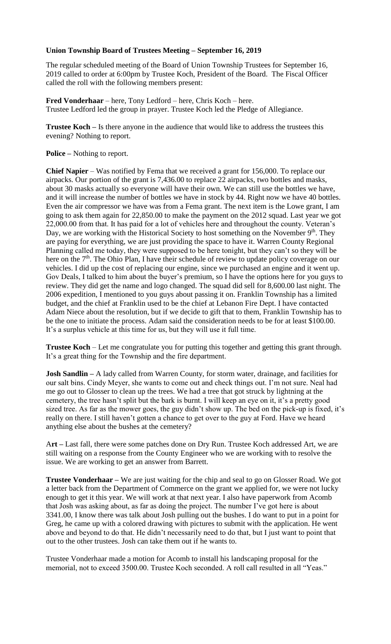## **Union Township Board of Trustees Meeting – September 16, 2019**

The regular scheduled meeting of the Board of Union Township Trustees for September 16, 2019 called to order at 6:00pm by Trustee Koch, President of the Board. The Fiscal Officer called the roll with the following members present:

**Fred Vonderhaar** – here, Tony Ledford – here, Chris Koch – here. Trustee Ledford led the group in prayer. Trustee Koch led the Pledge of Allegiance.

**Trustee Koch –** Is there anyone in the audience that would like to address the trustees this evening? Nothing to report.

**Police –** Nothing to report.

**Chief Napier** – Was notified by Fema that we received a grant for 156,000. To replace our airpacks. Our portion of the grant is 7,436.00 to replace 22 airpacks, two bottles and masks, about 30 masks actually so everyone will have their own. We can still use the bottles we have, and it will increase the number of bottles we have in stock by 44. Right now we have 40 bottles. Even the air compressor we have was from a Fema grant. The next item is the Lowe grant, I am going to ask them again for 22,850.00 to make the payment on the 2012 squad. Last year we got 22,000.00 from that. It has paid for a lot of vehicles here and throughout the county. Veteran's Day, we are working with the Historical Society to host something on the November 9<sup>th</sup>. They are paying for everything, we are just providing the space to have it. Warren County Regional Planning called me today, they were supposed to be here tonight, but they can't so they will be here on the 7<sup>th</sup>. The Ohio Plan, I have their schedule of review to update policy coverage on our vehicles. I did up the cost of replacing our engine, since we purchased an engine and it went up. Gov Deals, I talked to him about the buyer's premium, so I have the options here for you guys to review. They did get the name and logo changed. The squad did sell for 8,600.00 last night. The 2006 expedition, I mentioned to you guys about passing it on. Franklin Township has a limited budget, and the chief at Franklin used to be the chief at Lebanon Fire Dept. I have contacted Adam Niece about the resolution, but if we decide to gift that to them, Franklin Township has to be the one to initiate the process. Adam said the consideration needs to be for at least \$100.00. It's a surplus vehicle at this time for us, but they will use it full time.

**Trustee Koch** – Let me congratulate you for putting this together and getting this grant through. It's a great thing for the Township and the fire department.

**Josh Sandlin –** A lady called from Warren County, for storm water, drainage, and facilities for our salt bins. Cindy Meyer, she wants to come out and check things out. I'm not sure. Neal had me go out to Glosser to clean up the trees. We had a tree that got struck by lightning at the cemetery, the tree hasn't split but the bark is burnt. I will keep an eye on it, it's a pretty good sized tree. As far as the mower goes, the guy didn't show up. The bed on the pick-up is fixed, it's really on there. I still haven't gotten a chance to get over to the guy at Ford. Have we heard anything else about the bushes at the cemetery?

A**rt –** Last fall, there were some patches done on Dry Run. Trustee Koch addressed Art, we are still waiting on a response from the County Engineer who we are working with to resolve the issue. We are working to get an answer from Barrett.

**Trustee Vonderhaar –** We are just waiting for the chip and seal to go on Glosser Road. We got a letter back from the Department of Commerce on the grant we applied for, we were not lucky enough to get it this year. We will work at that next year. I also have paperwork from Acomb that Josh was asking about, as far as doing the project. The number I've got here is about 3341.00, I know there was talk about Josh pulling out the bushes. I do want to put in a point for Greg, he came up with a colored drawing with pictures to submit with the application. He went above and beyond to do that. He didn't necessarily need to do that, but I just want to point that out to the other trustees. Josh can take them out if he wants to.

Trustee Vonderhaar made a motion for Acomb to install his landscaping proposal for the memorial, not to exceed 3500.00. Trustee Koch seconded. A roll call resulted in all "Yeas."